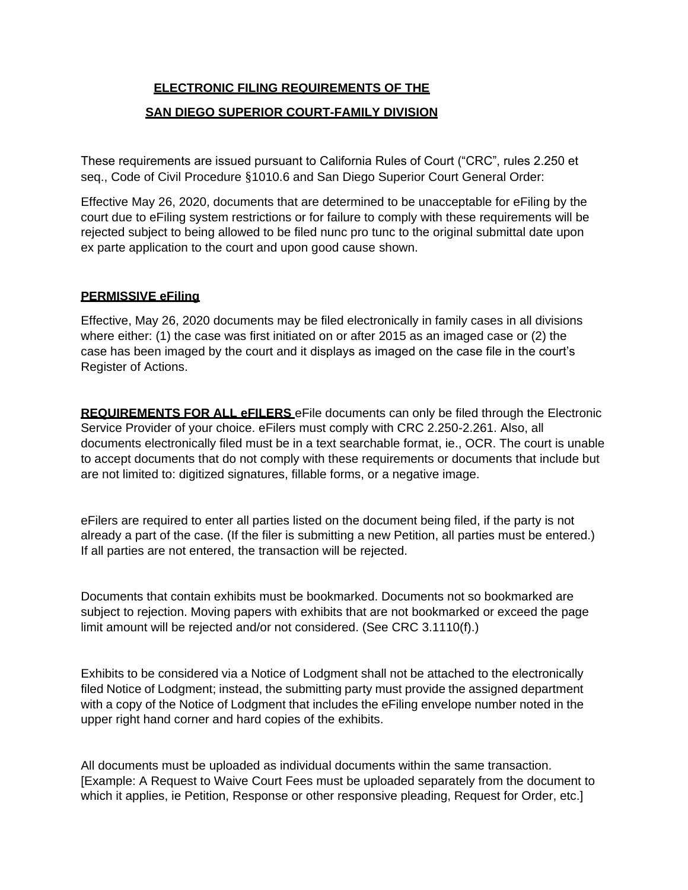## **ELECTRONIC FILING REQUIREMENTS OF THE**

## **SAN DIEGO SUPERIOR COURT-FAMILY DIVISION**

These requirements are issued pursuant to California Rules of Court ("CRC", rules 2.250 et seq., Code of Civil Procedure §1010.6 and San Diego Superior Court General Order:

Effective May 26, 2020, documents that are determined to be unacceptable for eFiling by the court due to eFiling system restrictions or for failure to comply with these requirements will be rejected subject to being allowed to be filed nunc pro tunc to the original submittal date upon ex parte application to the court and upon good cause shown.

## **PERMISSIVE eFiling**

Effective, May 26, 2020 documents may be filed electronically in family cases in all divisions where either: (1) the case was first initiated on or after 2015 as an imaged case or (2) the case has been imaged by the court and it displays as imaged on the case file in the court's Register of Actions.

**REQUIREMENTS FOR ALL eFILERS** eFile documents can only be filed through the Electronic Service Provider of your choice. eFilers must comply with CRC 2.250-2.261. Also, all documents electronically filed must be in a text searchable format, ie., OCR. The court is unable to accept documents that do not comply with these requirements or documents that include but are not limited to: digitized signatures, fillable forms, or a negative image.

eFilers are required to enter all parties listed on the document being filed, if the party is not already a part of the case. (If the filer is submitting a new Petition, all parties must be entered.) If all parties are not entered, the transaction will be rejected.

Documents that contain exhibits must be bookmarked. Documents not so bookmarked are subject to rejection. Moving papers with exhibits that are not bookmarked or exceed the page limit amount will be rejected and/or not considered. (See CRC 3.1110(f).)

Exhibits to be considered via a Notice of Lodgment shall not be attached to the electronically filed Notice of Lodgment; instead, the submitting party must provide the assigned department with a copy of the Notice of Lodgment that includes the eFiling envelope number noted in the upper right hand corner and hard copies of the exhibits.

All documents must be uploaded as individual documents within the same transaction. [Example: A Request to Waive Court Fees must be uploaded separately from the document to which it applies, ie Petition, Response or other responsive pleading, Request for Order, etc.]